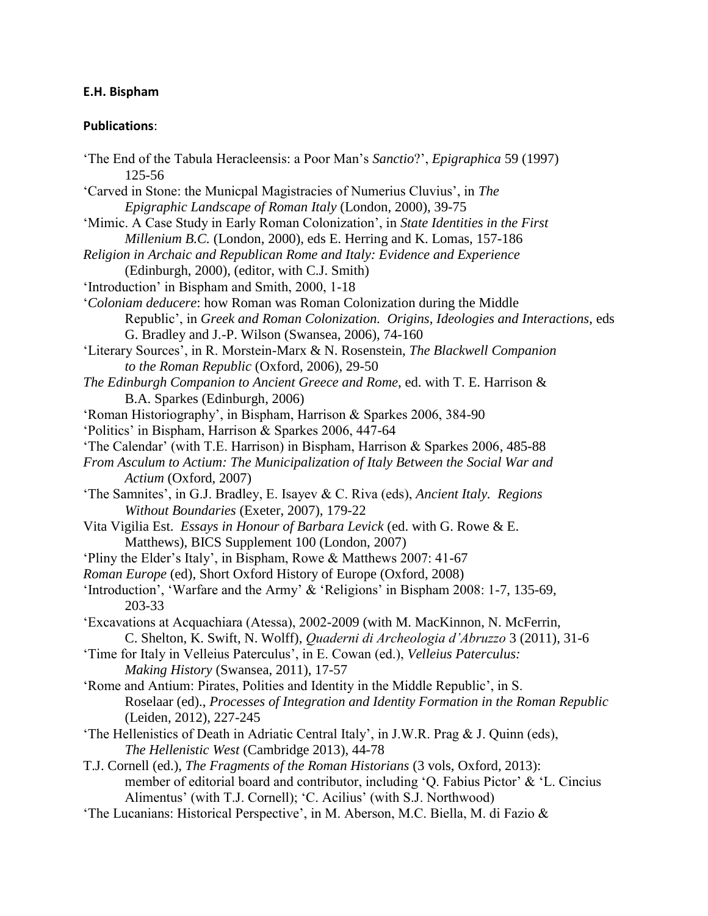## **E.H. Bispham**

## **Publications**:

| 'The End of the Tabula Heracleensis: a Poor Man's Sanctio?', Epigraphica 59 (1997)<br>125-56                                            |
|-----------------------------------------------------------------------------------------------------------------------------------------|
| 'Carved in Stone: the Municpal Magistracies of Numerius Cluvius', in The<br>Epigraphic Landscape of Roman Italy (London, 2000), 39-75   |
| 'Mimic. A Case Study in Early Roman Colonization', in State Identities in the First                                                     |
| Millenium B.C. (London, 2000), eds E. Herring and K. Lomas, 157-186                                                                     |
| Religion in Archaic and Republican Rome and Italy: Evidence and Experience                                                              |
| (Edinburgh, 2000), (editor, with C.J. Smith)                                                                                            |
| 'Introduction' in Bispham and Smith, 2000, 1-18                                                                                         |
| 'Coloniam deducere: how Roman was Roman Colonization during the Middle                                                                  |
| Republic', in Greek and Roman Colonization. Origins, Ideologies and Interactions, eds                                                   |
| G. Bradley and J.-P. Wilson (Swansea, 2006), 74-160                                                                                     |
| 'Literary Sources', in R. Morstein-Marx & N. Rosenstein, The Blackwell Companion                                                        |
| to the Roman Republic (Oxford, 2006), 29-50<br>The Edinburgh Companion to Ancient Greece and Rome, ed. with T. E. Harrison &            |
| B.A. Sparkes (Edinburgh, 2006)                                                                                                          |
| 'Roman Historiography', in Bispham, Harrison & Sparkes 2006, 384-90                                                                     |
| 'Politics' in Bispham, Harrison & Sparkes 2006, 447-64                                                                                  |
| 'The Calendar' (with T.E. Harrison) in Bispham, Harrison & Sparkes 2006, 485-88                                                         |
| From Asculum to Actium: The Municipalization of Italy Between the Social War and                                                        |
| Actium (Oxford, 2007)                                                                                                                   |
| 'The Samnites', in G.J. Bradley, E. Isayev & C. Riva (eds), Ancient Italy. Regions                                                      |
| Without Boundaries (Exeter, 2007), 179-22                                                                                               |
| Vita Vigilia Est. Essays in Honour of Barbara Levick (ed. with G. Rowe & E.                                                             |
| Matthews), BICS Supplement 100 (London, 2007)                                                                                           |
| 'Pliny the Elder's Italy', in Bispham, Rowe & Matthews 2007: 41-67<br>Roman Europe (ed), Short Oxford History of Europe (Oxford, 2008)  |
| 'Introduction', 'Warfare and the Army' & 'Religions' in Bispham 2008: 1-7, 135-69,                                                      |
| 203-33                                                                                                                                  |
| 'Excavations at Acquachiara (Atessa), 2002-2009 (with M. MacKinnon, N. McFerrin,                                                        |
| C. Shelton, K. Swift, N. Wolff), Quaderni di Archeologia d'Abruzzo 3 (2011), 31-6                                                       |
| 'Time for Italy in Velleius Paterculus', in E. Cowan (ed.), Velleius Paterculus:                                                        |
| Making History (Swansea, 2011), 17-57                                                                                                   |
| 'Rome and Antium: Pirates, Polities and Identity in the Middle Republic', in S.                                                         |
| Roselaar (ed)., Processes of Integration and Identity Formation in the Roman Republic                                                   |
| (Leiden, 2012), 227-245                                                                                                                 |
| 'The Hellenistics of Death in Adriatic Central Italy', in J.W.R. Prag & J. Quinn (eds),<br>The Hellenistic West (Cambridge 2013), 44-78 |
| T.J. Cornell (ed.), The Fragments of the Roman Historians (3 vols, Oxford, 2013):                                                       |
| member of editorial board and contributor, including 'Q. Fabius Pictor' & 'L. Cincius                                                   |
| Alimentus' (with T.J. Cornell); 'C. Acilius' (with S.J. Northwood)                                                                      |
| 'The Lucanians: Historical Perspective', in M. Aberson, M.C. Biella, M. di Fazio &                                                      |
|                                                                                                                                         |